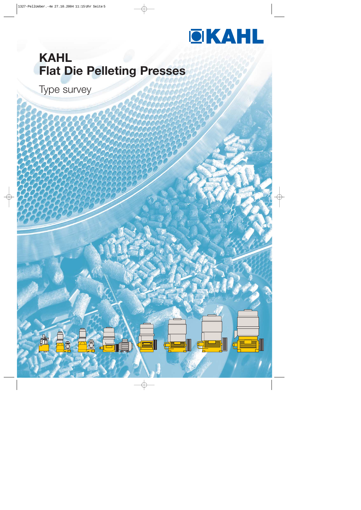

# **KAHL Flat Die Pelleting Presses**

Type survey

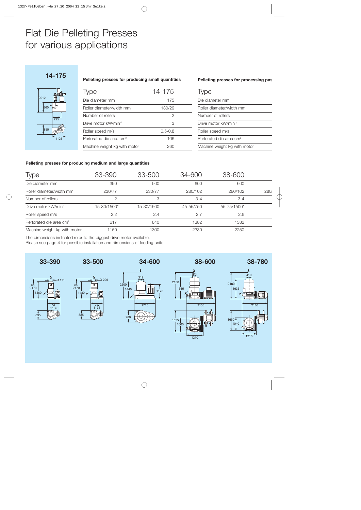## Flat Die Pelleting Presses for various applications





**Pelleting presses for producing small quantities**

#### **Pelleting presses for processing pas**

| Type                             | 14-175      | Type                                |  |
|----------------------------------|-------------|-------------------------------------|--|
| Die diameter mm                  | 175         | Die diameter mm                     |  |
| Roller diameter/width mm         | 130/29      | Roller diameter/width mm            |  |
| Number of rollers                | 2           | Number of rollers                   |  |
| Drive motor kW/min <sup>-1</sup> | 3           | Drive motor kW/min <sup>-1</sup>    |  |
| Roller speed m/s                 | $0.5 - 0.8$ | Roller speed m/s                    |  |
| Perforated die area $cm2$        | 106         | Perforated die area cm <sup>2</sup> |  |
| Machine weight kg with motor     | 260         | Machine weight kg with motor        |  |

#### **Pelleting presses for producing medium and large quantities**

| Type                                | 33-390      | 33-500     | 34-600    | 38-600      |     |
|-------------------------------------|-------------|------------|-----------|-------------|-----|
| Die diameter mm                     | 390         | 500        | 600       | 600         |     |
| Roller diameter/width mm            | 230/77      | 230/77     | 280/102   | 280/102     | 280 |
| Number of rollers                   |             | 3          | $3 - 4$   | $3 - 4$     |     |
| Drive motor kW/min-1                | 15-30/1500* | 15-30/1500 | 45-55/750 | 55-75/1500* |     |
| Roller speed m/s                    | 2.2         | 2.4        | 2.7       | 2.6         |     |
| Perforated die area cm <sup>2</sup> | 617         | 840        | 1382      | 1382        |     |
| Machine weight kg with motor        | 1150        | 1300       | 2330      | 2250        |     |

**34-600**

The dimensions indicated refer to the biggest drive motor available.

Please see page 4 for possible installation and dimensions of feeding units.

ca. 1135

Ø 226







1480 ca. 2170

835





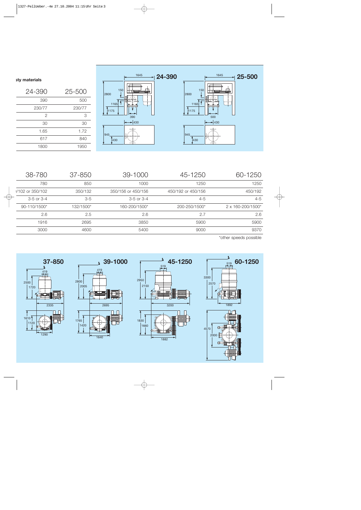



#### **sty materials**

| 24-390 | 25-500 |
|--------|--------|
| 390    | 500    |
| 230/77 | 230/77 |
| 2      | 3      |
| 30     | 30     |
| 1.65   | 1.72   |
| 617    | 840    |
| 1800   | 1950   |
|        |        |

| 60-1250                     | 45-1250            | 39-1000            | 37-850    | 38-780          |
|-----------------------------|--------------------|--------------------|-----------|-----------------|
| 1250                        | 1250               | 1000               | 850       | 780             |
| 450/192                     | 450/192 or 450/156 | 350/156 or 450/156 | 350/132   | /102 or 350/102 |
| $4 - 5$                     | $4 - 5$            | $3-5$ or $3-4$     | $3-5$     | 3-5 or 3-4      |
| $2 \times 160 - 200/1500^*$ | 200-250/1500*      | 160-200/1500*      | 132/1500* | 90-110/1500*    |
| 2.6                         | 2.7                | 2.6                | 2.5       | 2.6             |
| 5900                        | 5900               | 3850               | 2695      | 1916            |
| 9370                        | 9000               | 5400               | 4600      | 3000            |
|                             |                    |                    |           |                 |

\*other speeds possible